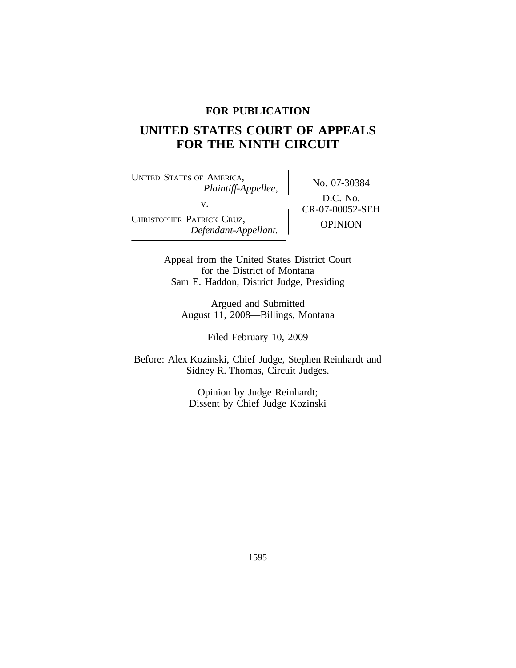# **FOR PUBLICATION**

# **UNITED STATES COURT OF APPEALS FOR THE NINTH CIRCUIT**

<sup>U</sup>NITED STATES OF AMERICA, No. 07-30384 *Plaintiff-Appellee,* v. B.C. No. CHRISTOPHER PATRICK CRUZ, AIRICK CRUZ,<br>*Defendant-Appellant.* OPINION

D.C. No.

Appeal from the United States District Court for the District of Montana Sam E. Haddon, District Judge, Presiding

Argued and Submitted August 11, 2008—Billings, Montana

Filed February 10, 2009

Before: Alex Kozinski, Chief Judge, Stephen Reinhardt and Sidney R. Thomas, Circuit Judges.

> Opinion by Judge Reinhardt; Dissent by Chief Judge Kozinski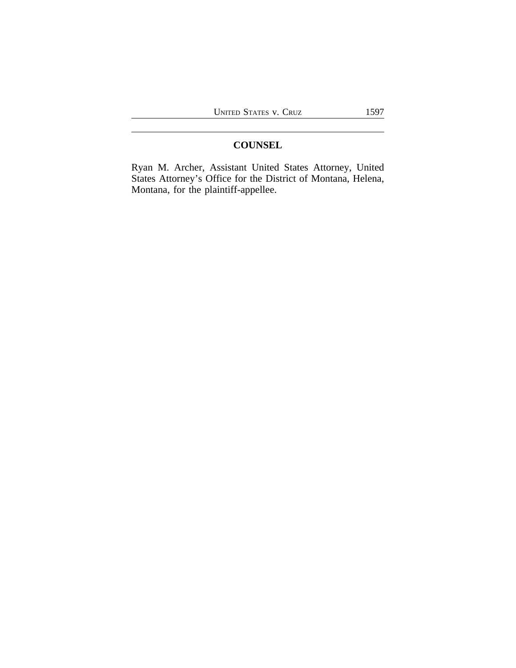# **COUNSEL**

Ryan M. Archer, Assistant United States Attorney, United States Attorney's Office for the District of Montana, Helena, Montana, for the plaintiff-appellee.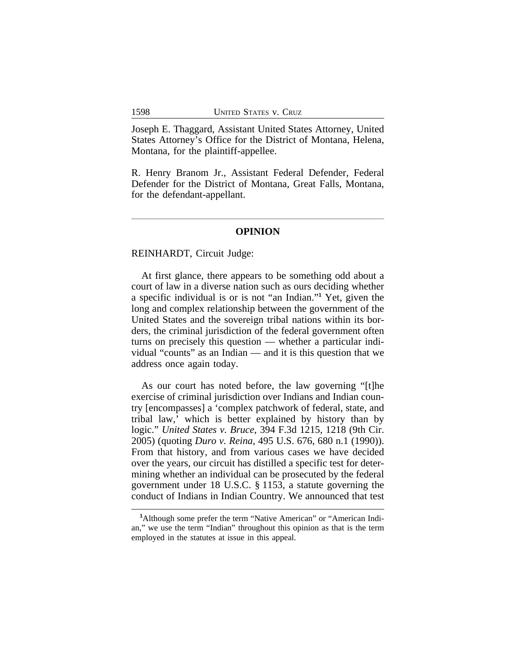Joseph E. Thaggard, Assistant United States Attorney, United States Attorney's Office for the District of Montana, Helena, Montana, for the plaintiff-appellee.

R. Henry Branom Jr., Assistant Federal Defender, Federal Defender for the District of Montana, Great Falls, Montana, for the defendant-appellant.

### **OPINION**

#### REINHARDT, Circuit Judge:

At first glance, there appears to be something odd about a court of law in a diverse nation such as ours deciding whether a specific individual is or is not "an Indian." **1** Yet, given the long and complex relationship between the government of the United States and the sovereign tribal nations within its borders, the criminal jurisdiction of the federal government often turns on precisely this question — whether a particular individual "counts" as an Indian — and it is this question that we address once again today.

As our court has noted before, the law governing "[t]he exercise of criminal jurisdiction over Indians and Indian country [encompasses] a 'complex patchwork of federal, state, and tribal law,' which is better explained by history than by logic." *United States v. Bruce*, 394 F.3d 1215, 1218 (9th Cir. 2005) (quoting *Duro v. Reina*, 495 U.S. 676, 680 n.1 (1990)). From that history, and from various cases we have decided over the years, our circuit has distilled a specific test for determining whether an individual can be prosecuted by the federal government under 18 U.S.C. § 1153, a statute governing the conduct of Indians in Indian Country. We announced that test

**<sup>1</sup>**Although some prefer the term "Native American" or "American Indian," we use the term "Indian" throughout this opinion as that is the term employed in the statutes at issue in this appeal.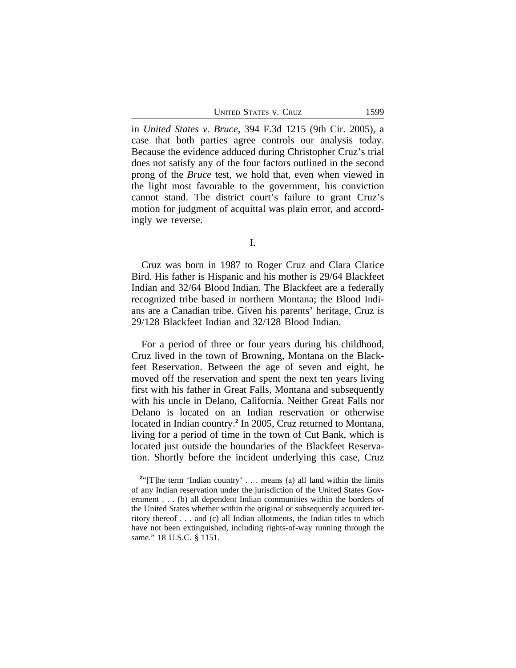in *United States v. Bruce*, 394 F.3d 1215 (9th Cir. 2005), a case that both parties agree controls our analysis today. Because the evidence adduced during Christopher Cruz's trial does not satisfy any of the four factors outlined in the second prong of the *Bruce* test, we hold that, even when viewed in the light most favorable to the government, his conviction cannot stand. The district court's failure to grant Cruz's motion for judgment of acquittal was plain error, and accordingly we reverse.

Cruz was born in 1987 to Roger Cruz and Clara Clarice Bird. His father is Hispanic and his mother is 29/64 Blackfeet Indian and 32/64 Blood Indian. The Blackfeet are a federally recognized tribe based in northern Montana; the Blood Indians are a Canadian tribe. Given his parents' heritage, Cruz is 29/128 Blackfeet Indian and 32/128 Blood Indian.

For a period of three or four years during his childhood, Cruz lived in the town of Browning, Montana on the Blackfeet Reservation. Between the age of seven and eight, he moved off the reservation and spent the next ten years living first with his father in Great Falls, Montana and subsequently with his uncle in Delano, California. Neither Great Falls nor Delano is located on an Indian reservation or otherwise located in Indian country.**<sup>2</sup>** In 2005, Cruz returned to Montana, living for a period of time in the town of Cut Bank, which is located just outside the boundaries of the Blackfeet Reservation. Shortly before the incident underlying this case, Cruz

<sup>&</sup>lt;sup>2</sup><sup>"</sup>[T]he term 'Indian country' . . . means (a) all land within the limits of any Indian reservation under the jurisdiction of the United States Government . . . (b) all dependent Indian communities within the borders of the United States whether within the original or subsequently acquired territory thereof . . . and (c) all Indian allotments, the Indian titles to which have not been extinguished, including rights-of-way running through the same." 18 U.S.C. § 1151.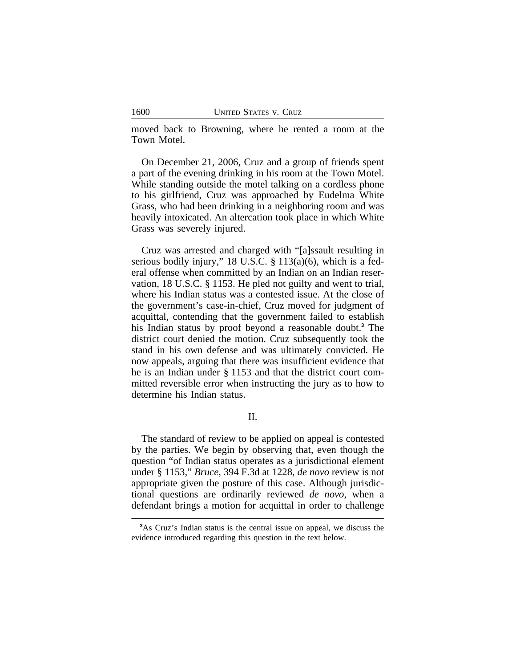moved back to Browning, where he rented a room at the Town Motel.

On December 21, 2006, Cruz and a group of friends spent a part of the evening drinking in his room at the Town Motel. While standing outside the motel talking on a cordless phone to his girlfriend, Cruz was approached by Eudelma White Grass, who had been drinking in a neighboring room and was heavily intoxicated. An altercation took place in which White Grass was severely injured.

Cruz was arrested and charged with "[a]ssault resulting in serious bodily injury," 18 U.S.C. § 113(a)(6), which is a federal offense when committed by an Indian on an Indian reservation, 18 U.S.C. § 1153. He pled not guilty and went to trial, where his Indian status was a contested issue. At the close of the government's case-in-chief, Cruz moved for judgment of acquittal, contending that the government failed to establish his Indian status by proof beyond a reasonable doubt.**<sup>3</sup>** The district court denied the motion. Cruz subsequently took the stand in his own defense and was ultimately convicted. He now appeals, arguing that there was insufficient evidence that he is an Indian under § 1153 and that the district court committed reversible error when instructing the jury as to how to determine his Indian status.

II.

The standard of review to be applied on appeal is contested by the parties. We begin by observing that, even though the question "of Indian status operates as a jurisdictional element under § 1153," *Bruce*, 394 F.3d at 1228, *de novo* review is not appropriate given the posture of this case. Although jurisdictional questions are ordinarily reviewed *de novo*, when a defendant brings a motion for acquittal in order to challenge

**<sup>3</sup>**As Cruz's Indian status is the central issue on appeal, we discuss the evidence introduced regarding this question in the text below.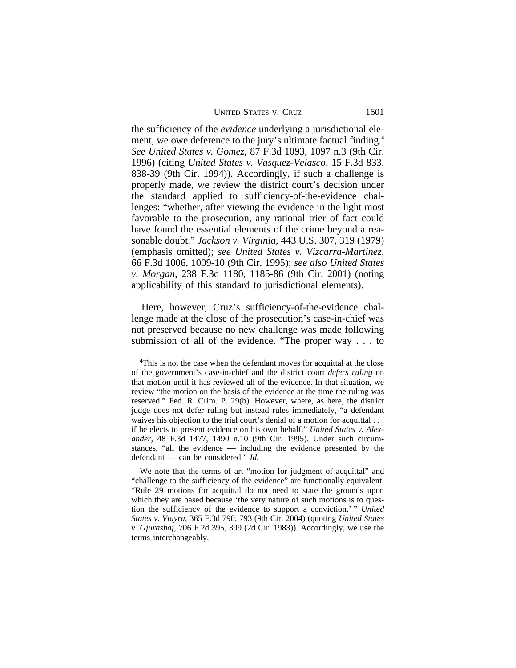| 1601<br>UNITED STATES V. CRUZ |
|-------------------------------|
|-------------------------------|

the sufficiency of the *evidence* underlying a jurisdictional element, we owe deference to the jury's ultimate factual finding.**<sup>4</sup>** *See United States v. Gomez*, 87 F.3d 1093, 1097 n.3 (9th Cir. 1996) (citing *United States v. Vasquez-Velasco*, 15 F.3d 833, 838-39 (9th Cir. 1994)). Accordingly, if such a challenge is properly made, we review the district court's decision under the standard applied to sufficiency-of-the-evidence challenges: "whether, after viewing the evidence in the light most favorable to the prosecution, any rational trier of fact could have found the essential elements of the crime beyond a reasonable doubt." *Jackson v. Virginia*, 443 U.S. 307, 319 (1979) (emphasis omitted); *see United States v. Vizcarra-Martinez*, 66 F.3d 1006, 1009-10 (9th Cir. 1995); *see also United States v. Morgan*, 238 F.3d 1180, 1185-86 (9th Cir. 2001) (noting applicability of this standard to jurisdictional elements).

Here, however, Cruz's sufficiency-of-the-evidence challenge made at the close of the prosecution's case-in-chief was not preserved because no new challenge was made following submission of all of the evidence. "The proper way . . . to

**<sup>4</sup>**This is not the case when the defendant moves for acquittal at the close of the government's case-in-chief and the district court *defers ruling* on that motion until it has reviewed all of the evidence. In that situation, we review "the motion on the basis of the evidence at the time the ruling was reserved." Fed. R. Crim. P. 29(b). However, where, as here, the district judge does not defer ruling but instead rules immediately, "a defendant waives his objection to the trial court's denial of a motion for acquittal ... if he elects to present evidence on his own behalf." *United States v. Alexander*, 48 F.3d 1477, 1490 n.10 (9th Cir. 1995). Under such circumstances, "all the evidence — including the evidence presented by the defendant — can be considered." *Id.*

We note that the terms of art "motion for judgment of acquittal" and "challenge to the sufficiency of the evidence" are functionally equivalent: "Rule 29 motions for acquittal do not need to state the grounds upon which they are based because 'the very nature of such motions is to question the sufficiency of the evidence to support a conviction.' " *United States v. Viayra*, 365 F.3d 790, 793 (9th Cir. 2004) (quoting *United States v. Gjurashaj*, 706 F.2d 395, 399 (2d Cir. 1983)). Accordingly, we use the terms interchangeably.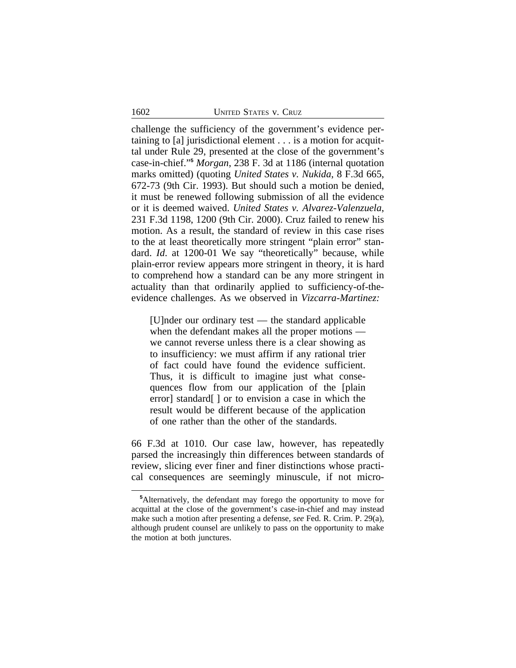challenge the sufficiency of the government's evidence pertaining to [a] jurisdictional element . . . is a motion for acquittal under Rule 29, presented at the close of the government's case-in-chief." **<sup>5</sup>** *Morgan*, 238 F. 3d at 1186 (internal quotation marks omitted) (quoting *United States v. Nukida*, 8 F.3d 665, 672-73 (9th Cir. 1993). But should such a motion be denied, it must be renewed following submission of all the evidence or it is deemed waived. *United States v. Alvarez-Valenzuela*, 231 F.3d 1198, 1200 (9th Cir. 2000). Cruz failed to renew his motion. As a result, the standard of review in this case rises to the at least theoretically more stringent "plain error" standard. *Id*. at 1200-01 We say "theoretically" because, while plain-error review appears more stringent in theory, it is hard to comprehend how a standard can be any more stringent in actuality than that ordinarily applied to sufficiency-of-theevidence challenges. As we observed in *Vizcarra-Martinez:*

[U]nder our ordinary test — the standard applicable when the defendant makes all the proper motions we cannot reverse unless there is a clear showing as to insufficiency: we must affirm if any rational trier of fact could have found the evidence sufficient. Thus, it is difficult to imagine just what consequences flow from our application of the [plain error] standard[ ] or to envision a case in which the result would be different because of the application of one rather than the other of the standards.

66 F.3d at 1010. Our case law, however, has repeatedly parsed the increasingly thin differences between standards of review, slicing ever finer and finer distinctions whose practical consequences are seemingly minuscule, if not micro-

**<sup>5</sup>**Alternatively, the defendant may forego the opportunity to move for acquittal at the close of the government's case-in-chief and may instead make such a motion after presenting a defense, *see* Fed. R. Crim. P. 29(a), although prudent counsel are unlikely to pass on the opportunity to make the motion at both junctures.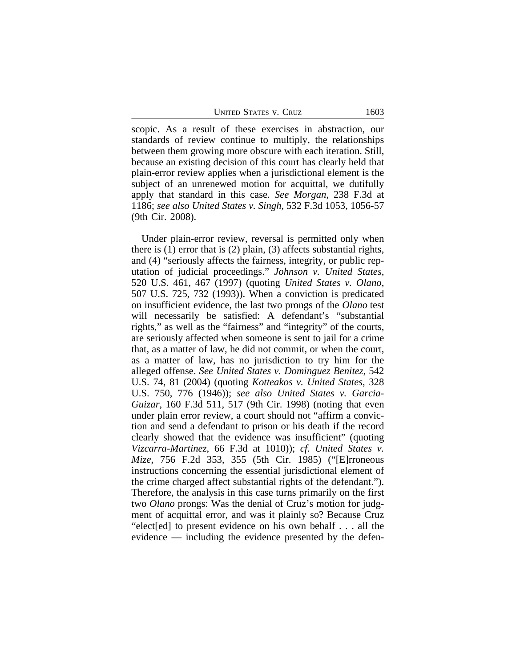scopic. As a result of these exercises in abstraction, our standards of review continue to multiply, the relationships between them growing more obscure with each iteration. Still, because an existing decision of this court has clearly held that plain-error review applies when a jurisdictional element is the subject of an unrenewed motion for acquittal, we dutifully apply that standard in this case. *See Morgan*, 238 F.3d at 1186; *see also United States v. Singh*, 532 F.3d 1053, 1056-57 (9th Cir. 2008).

Under plain-error review, reversal is permitted only when there is (1) error that is (2) plain, (3) affects substantial rights, and (4) "seriously affects the fairness, integrity, or public reputation of judicial proceedings." *Johnson v. United States*, 520 U.S. 461, 467 (1997) (quoting *United States v. Olano*, 507 U.S. 725, 732 (1993)). When a conviction is predicated on insufficient evidence, the last two prongs of the *Olano* test will necessarily be satisfied: A defendant's "substantial rights," as well as the "fairness" and "integrity" of the courts, are seriously affected when someone is sent to jail for a crime that, as a matter of law, he did not commit, or when the court, as a matter of law, has no jurisdiction to try him for the alleged offense. *See United States v. Dominguez Benitez*, 542 U.S. 74, 81 (2004) (quoting *Kotteakos v. United States*, 328 U.S. 750, 776 (1946)); *see also United States v. Garcia-Guizar*, 160 F.3d 511, 517 (9th Cir. 1998) (noting that even under plain error review, a court should not "affirm a conviction and send a defendant to prison or his death if the record clearly showed that the evidence was insufficient" (quoting *Vizcarra-Martinez*, 66 F.3d at 1010)); *cf. United States v. Mize*, 756 F.2d 353, 355 (5th Cir. 1985) ("[E]rroneous instructions concerning the essential jurisdictional element of the crime charged affect substantial rights of the defendant."). Therefore, the analysis in this case turns primarily on the first two *Olano* prongs: Was the denial of Cruz's motion for judgment of acquittal error, and was it plainly so? Because Cruz "elect[ed] to present evidence on his own behalf . . . all the evidence — including the evidence presented by the defen-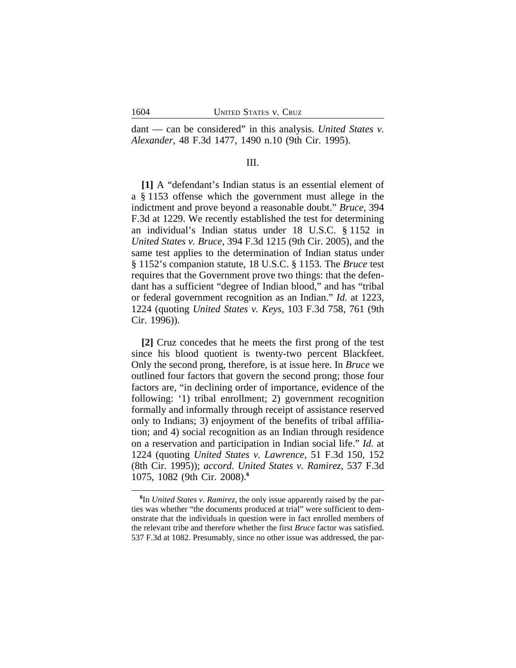dant — can be considered" in this analysis. *United States v. Alexander*, 48 F.3d 1477, 1490 n.10 (9th Cir. 1995).

## III.

**[1]** A "defendant's Indian status is an essential element of a § 1153 offense which the government must allege in the indictment and prove beyond a reasonable doubt." *Bruce*, 394 F.3d at 1229. We recently established the test for determining an individual's Indian status under 18 U.S.C. § 1152 in *United States v. Bruce*, 394 F.3d 1215 (9th Cir. 2005), and the same test applies to the determination of Indian status under § 1152's companion statute, 18 U.S.C. § 1153. The *Bruce* test requires that the Government prove two things: that the defendant has a sufficient "degree of Indian blood," and has "tribal or federal government recognition as an Indian." *Id.* at 1223, 1224 (quoting *United States v. Keys*, 103 F.3d 758, 761 (9th Cir. 1996)).

**[2]** Cruz concedes that he meets the first prong of the test since his blood quotient is twenty-two percent Blackfeet. Only the second prong, therefore, is at issue here. In *Bruce* we outlined four factors that govern the second prong; those four factors are, "in declining order of importance, evidence of the following: '1) tribal enrollment; 2) government recognition formally and informally through receipt of assistance reserved only to Indians; 3) enjoyment of the benefits of tribal affiliation; and 4) social recognition as an Indian through residence on a reservation and participation in Indian social life." *Id.* at 1224 (quoting *United States v. Lawrence*, 51 F.3d 150, 152 (8th Cir. 1995)); *accord*. *United States v. Ramirez*, 537 F.3d 1075, 1082 (9th Cir. 2008).**<sup>6</sup>**

**<sup>6</sup>** In *United States v. Ramirez*, the only issue apparently raised by the parties was whether "the documents produced at trial" were sufficient to demonstrate that the individuals in question were in fact enrolled members of the relevant tribe and therefore whether the first *Bruce* factor was satisfied. 537 F.3d at 1082. Presumably, since no other issue was addressed, the par-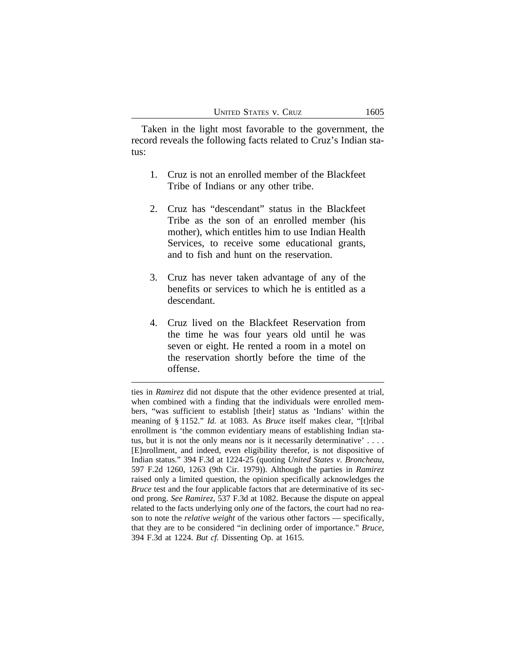Taken in the light most favorable to the government, the record reveals the following facts related to Cruz's Indian status:

- 1. Cruz is not an enrolled member of the Blackfeet Tribe of Indians or any other tribe.
- 2. Cruz has "descendant" status in the Blackfeet Tribe as the son of an enrolled member (his mother), which entitles him to use Indian Health Services, to receive some educational grants, and to fish and hunt on the reservation.
- 3. Cruz has never taken advantage of any of the benefits or services to which he is entitled as a descendant.
- 4. Cruz lived on the Blackfeet Reservation from the time he was four years old until he was seven or eight. He rented a room in a motel on the reservation shortly before the time of the offense.

ties in *Ramirez* did not dispute that the other evidence presented at trial, when combined with a finding that the individuals were enrolled members, "was sufficient to establish [their] status as 'Indians' within the meaning of § 1152." *Id.* at 1083. As *Bruce* itself makes clear, "[t]ribal enrollment is 'the common evidentiary means of establishing Indian status, but it is not the only means nor is it necessarily determinative' . . . . [E]nrollment, and indeed, even eligibility therefor, is not dispositive of Indian status." 394 F.3d at 1224-25 (quoting *United States v. Broncheau*, 597 F.2d 1260, 1263 (9th Cir. 1979)). Although the parties in *Ramirez* raised only a limited question, the opinion specifically acknowledges the *Bruce* test and the four applicable factors that are determinative of its second prong. *See Ramirez*, 537 F.3d at 1082. Because the dispute on appeal related to the facts underlying only *one* of the factors, the court had no reason to note the *relative weight* of the various other factors — specifically, that they are to be considered "in declining order of importance." *Bruce*, 394 F.3d at 1224. *But cf.* Dissenting Op. at 1615.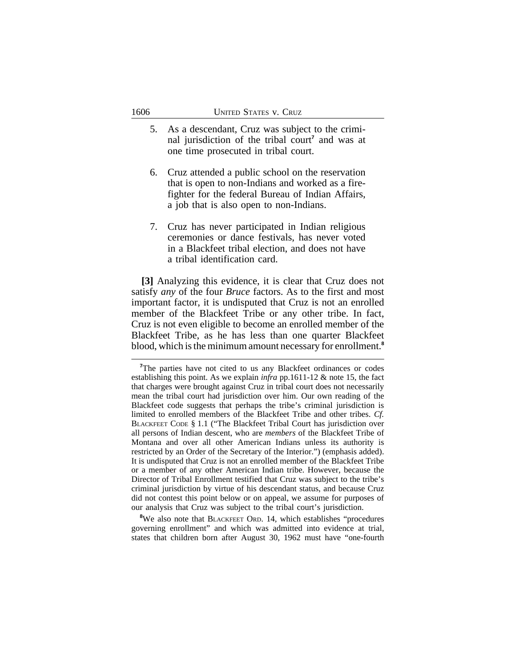- 5. As a descendant, Cruz was subject to the criminal jurisdiction of the tribal court**<sup>7</sup>** and was at one time prosecuted in tribal court.
- 6. Cruz attended a public school on the reservation that is open to non-Indians and worked as a firefighter for the federal Bureau of Indian Affairs, a job that is also open to non-Indians.
- 7. Cruz has never participated in Indian religious ceremonies or dance festivals, has never voted in a Blackfeet tribal election, and does not have a tribal identification card.

**[3]** Analyzing this evidence, it is clear that Cruz does not satisfy *any* of the four *Bruce* factors. As to the first and most important factor, it is undisputed that Cruz is not an enrolled member of the Blackfeet Tribe or any other tribe. In fact, Cruz is not even eligible to become an enrolled member of the Blackfeet Tribe, as he has less than one quarter Blackfeet blood, which is the minimum amount necessary for enrollment.**<sup>8</sup>**

<sup>8</sup>We also note that BLACKFEET ORD. 14, which establishes "procedures" governing enrollment" and which was admitted into evidence at trial, states that children born after August 30, 1962 must have "one-fourth

<sup>&</sup>lt;sup>7</sup>The parties have not cited to us any Blackfeet ordinances or codes establishing this point. As we explain *infra* pp.1611-12 & note 15, the fact that charges were brought against Cruz in tribal court does not necessarily mean the tribal court had jurisdiction over him. Our own reading of the Blackfeet code suggests that perhaps the tribe's criminal jurisdiction is limited to enrolled members of the Blackfeet Tribe and other tribes. *Cf.* BLACKFEET CODE § 1.1 ("The Blackfeet Tribal Court has jurisdiction over all persons of Indian descent, who are *members* of the Blackfeet Tribe of Montana and over all other American Indians unless its authority is restricted by an Order of the Secretary of the Interior.") (emphasis added). It is undisputed that Cruz is not an enrolled member of the Blackfeet Tribe or a member of any other American Indian tribe. However, because the Director of Tribal Enrollment testified that Cruz was subject to the tribe's criminal jurisdiction by virtue of his descendant status, and because Cruz did not contest this point below or on appeal, we assume for purposes of our analysis that Cruz was subject to the tribal court's jurisdiction.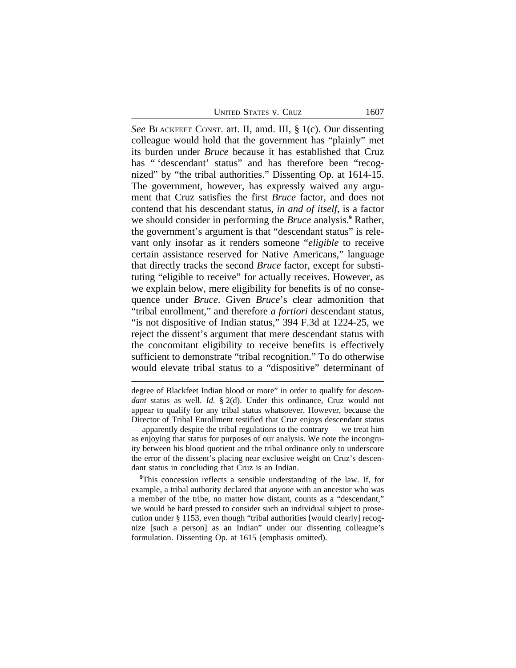*See* BLACKFEET CONST. art. II, amd. III, § 1(c). Our dissenting colleague would hold that the government has "plainly" met its burden under *Bruce* because it has established that Cruz has " 'descendant' status" and has therefore been "recognized" by "the tribal authorities." Dissenting Op. at 1614-15. The government, however, has expressly waived any argument that Cruz satisfies the first *Bruce* factor, and does not contend that his descendant status, *in and of itself*, is a factor we should consider in performing the *Bruce* analysis.**<sup>9</sup>** Rather, the government's argument is that "descendant status" is relevant only insofar as it renders someone "*eligible* to receive certain assistance reserved for Native Americans," language that directly tracks the second *Bruce* factor, except for substituting "eligible to receive" for actually receives. However, as we explain below, mere eligibility for benefits is of no consequence under *Bruce*. Given *Bruce*'s clear admonition that "tribal enrollment," and therefore *a fortiori* descendant status, "is not dispositive of Indian status," 394 F.3d at 1224-25, we reject the dissent's argument that mere descendant status with the concomitant eligibility to receive benefits is effectively sufficient to demonstrate "tribal recognition." To do otherwise would elevate tribal status to a "dispositive" determinant of

degree of Blackfeet Indian blood or more" in order to qualify for *descendant* status as well. *Id.* § 2(d). Under this ordinance, Cruz would not appear to qualify for any tribal status whatsoever. However, because the Director of Tribal Enrollment testified that Cruz enjoys descendant status — apparently despite the tribal regulations to the contrary — we treat him as enjoying that status for purposes of our analysis. We note the incongruity between his blood quotient and the tribal ordinance only to underscore the error of the dissent's placing near exclusive weight on Cruz's descendant status in concluding that Cruz is an Indian.

**<sup>9</sup>**This concession reflects a sensible understanding of the law. If, for example, a tribal authority declared that *anyone* with an ancestor who was a member of the tribe, no matter how distant, counts as a "descendant," we would be hard pressed to consider such an individual subject to prosecution under § 1153, even though "tribal authorities [would clearly] recognize [such a person] as an Indian" under our dissenting colleague's formulation. Dissenting Op. at 1615 (emphasis omitted).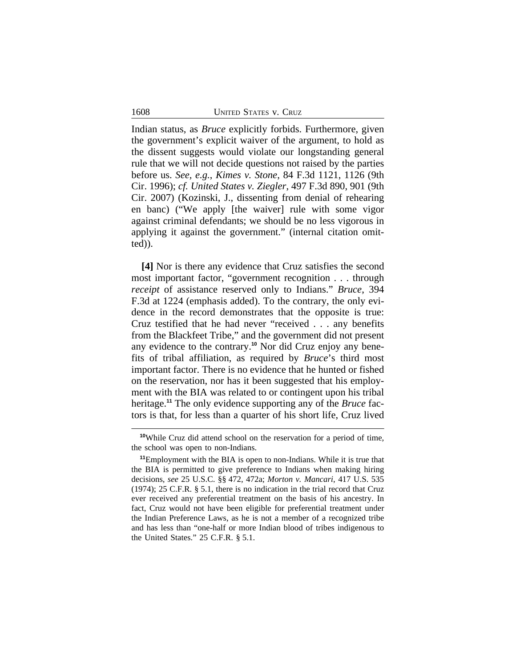Indian status, as *Bruce* explicitly forbids. Furthermore, given the government's explicit waiver of the argument, to hold as the dissent suggests would violate our longstanding general rule that we will not decide questions not raised by the parties before us. *See, e.g.*, *Kimes v. Stone*, 84 F.3d 1121, 1126 (9th Cir. 1996); *cf. United States v. Ziegler*, 497 F.3d 890, 901 (9th Cir. 2007) (Kozinski, J., dissenting from denial of rehearing en banc) ("We apply [the waiver] rule with some vigor against criminal defendants; we should be no less vigorous in applying it against the government." (internal citation omitted)).

**[4]** Nor is there any evidence that Cruz satisfies the second most important factor, "government recognition . . . through *receipt* of assistance reserved only to Indians." *Bruce*, 394 F.3d at 1224 (emphasis added). To the contrary, the only evidence in the record demonstrates that the opposite is true: Cruz testified that he had never "received . . . any benefits from the Blackfeet Tribe," and the government did not present any evidence to the contrary.**10** Nor did Cruz enjoy any benefits of tribal affiliation, as required by *Bruce*'s third most important factor. There is no evidence that he hunted or fished on the reservation, nor has it been suggested that his employment with the BIA was related to or contingent upon his tribal heritage.**11** The only evidence supporting any of the *Bruce* factors is that, for less than a quarter of his short life, Cruz lived

**<sup>10</sup>**While Cruz did attend school on the reservation for a period of time, the school was open to non-Indians.

**<sup>11</sup>**Employment with the BIA is open to non-Indians. While it is true that the BIA is permitted to give preference to Indians when making hiring decisions, *see* 25 U.S.C. §§ 472, 472a; *Morton v. Mancari*, 417 U.S. 535 (1974); 25 C.F.R. § 5.1, there is no indication in the trial record that Cruz ever received any preferential treatment on the basis of his ancestry. In fact, Cruz would not have been eligible for preferential treatment under the Indian Preference Laws, as he is not a member of a recognized tribe and has less than "one-half or more Indian blood of tribes indigenous to the United States." 25 C.F.R. § 5.1.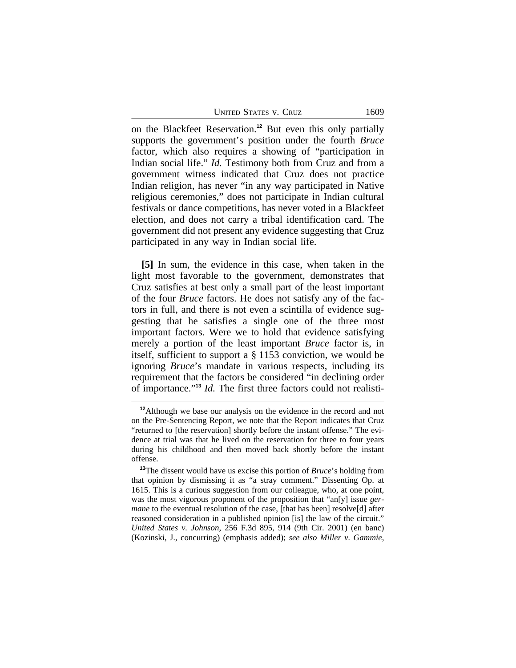| <b>UNITED STATES V. CRUZ</b> | 1609 |
|------------------------------|------|
|------------------------------|------|

on the Blackfeet Reservation.**<sup>12</sup>** But even this only partially supports the government's position under the fourth *Bruce* factor, which also requires a showing of "participation in Indian social life." *Id.* Testimony both from Cruz and from a government witness indicated that Cruz does not practice Indian religion, has never "in any way participated in Native religious ceremonies," does not participate in Indian cultural festivals or dance competitions, has never voted in a Blackfeet election, and does not carry a tribal identification card. The government did not present any evidence suggesting that Cruz participated in any way in Indian social life.

**[5]** In sum, the evidence in this case, when taken in the light most favorable to the government, demonstrates that Cruz satisfies at best only a small part of the least important of the four *Bruce* factors. He does not satisfy any of the factors in full, and there is not even a scintilla of evidence suggesting that he satisfies a single one of the three most important factors. Were we to hold that evidence satisfying merely a portion of the least important *Bruce* factor is, in itself, sufficient to support a § 1153 conviction, we would be ignoring *Bruce*'s mandate in various respects, including its requirement that the factors be considered "in declining order of importance." **<sup>13</sup>** *Id.* The first three factors could not realisti-

**<sup>12</sup>**Although we base our analysis on the evidence in the record and not on the Pre-Sentencing Report, we note that the Report indicates that Cruz "returned to [the reservation] shortly before the instant offense." The evidence at trial was that he lived on the reservation for three to four years during his childhood and then moved back shortly before the instant offense.

**<sup>13</sup>**The dissent would have us excise this portion of *Bruce*'s holding from that opinion by dismissing it as "a stray comment." Dissenting Op. at 1615. This is a curious suggestion from our colleague, who, at one point, was the most vigorous proponent of the proposition that "an[y] issue *germane* to the eventual resolution of the case, [that has been] resolve[d] after reasoned consideration in a published opinion [is] the law of the circuit." *United States v. Johnson*, 256 F.3d 895, 914 (9th Cir. 2001) (en banc) (Kozinski, J., concurring) (emphasis added); *see also Miller v. Gammie*,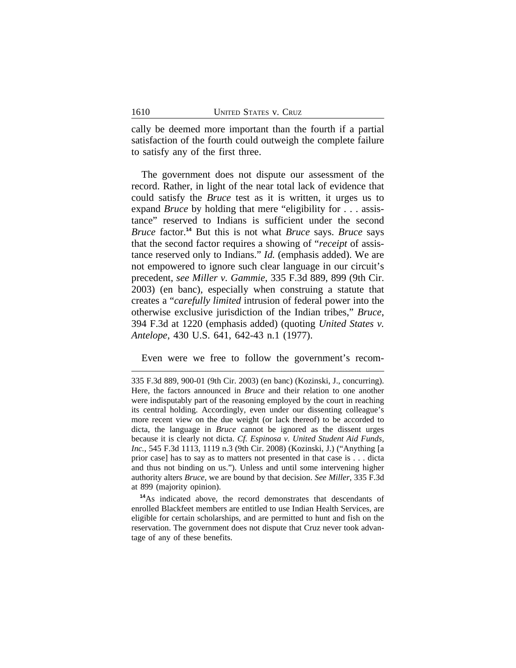cally be deemed more important than the fourth if a partial satisfaction of the fourth could outweigh the complete failure to satisfy any of the first three.

The government does not dispute our assessment of the record. Rather, in light of the near total lack of evidence that could satisfy the *Bruce* test as it is written, it urges us to expand *Bruce* by holding that mere "eligibility for . . . assistance" reserved to Indians is sufficient under the second *Bruce* factor.**<sup>14</sup>** But this is not what *Bruce* says. *Bruce* says that the second factor requires a showing of "*receipt* of assistance reserved only to Indians." *Id.* (emphasis added). We are not empowered to ignore such clear language in our circuit's precedent, *see Miller v. Gammie*, 335 F.3d 889, 899 (9th Cir. 2003) (en banc), especially when construing a statute that creates a "*carefully limited* intrusion of federal power into the otherwise exclusive jurisdiction of the Indian tribes," *Bruce*, 394 F.3d at 1220 (emphasis added) (quoting *United States v. Antelope*, 430 U.S. 641, 642-43 n.1 (1977).

Even were we free to follow the government's recom-

**<sup>14</sup>**As indicated above, the record demonstrates that descendants of enrolled Blackfeet members are entitled to use Indian Health Services, are eligible for certain scholarships, and are permitted to hunt and fish on the reservation. The government does not dispute that Cruz never took advantage of any of these benefits.

<sup>335</sup> F.3d 889, 900-01 (9th Cir. 2003) (en banc) (Kozinski, J., concurring). Here, the factors announced in *Bruce* and their relation to one another were indisputably part of the reasoning employed by the court in reaching its central holding. Accordingly, even under our dissenting colleague's more recent view on the due weight (or lack thereof) to be accorded to dicta, the language in *Bruce* cannot be ignored as the dissent urges because it is clearly not dicta. *Cf. Espinosa v. United Student Aid Funds, Inc.*, 545 F.3d 1113, 1119 n.3 (9th Cir. 2008) (Kozinski, J.) ("Anything [a prior case] has to say as to matters not presented in that case is . . . dicta and thus not binding on us."). Unless and until some intervening higher authority alters *Bruce*, we are bound by that decision. *See Miller*, 335 F.3d at 899 (majority opinion).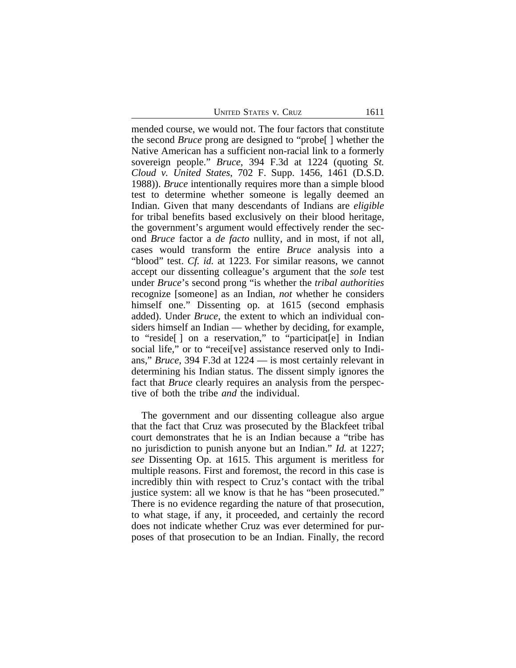mended course, we would not. The four factors that constitute the second *Bruce* prong are designed to "probe[ ] whether the Native American has a sufficient non-racial link to a formerly sovereign people." *Bruce*, 394 F.3d at 1224 (quoting *St. Cloud v. United States*, 702 F. Supp. 1456, 1461 (D.S.D. 1988)). *Bruce* intentionally requires more than a simple blood test to determine whether someone is legally deemed an Indian. Given that many descendants of Indians are *eligible* for tribal benefits based exclusively on their blood heritage, the government's argument would effectively render the second *Bruce* factor a *de facto* nullity, and in most, if not all, cases would transform the entire *Bruce* analysis into a "blood" test. *Cf. id.* at 1223. For similar reasons, we cannot accept our dissenting colleague's argument that the *sole* test under *Bruce*'s second prong "is whether the *tribal authorities* recognize [someone] as an Indian, *not* whether he considers himself one." Dissenting op. at 1615 (second emphasis added). Under *Bruce*, the extent to which an individual considers himself an Indian — whether by deciding, for example, to "reside[ ] on a reservation," to "participat[e] in Indian social life," or to "recei[ve] assistance reserved only to Indians," *Bruce*, 394 F.3d at 1224 — is most certainly relevant in determining his Indian status. The dissent simply ignores the fact that *Bruce* clearly requires an analysis from the perspective of both the tribe *and* the individual.

The government and our dissenting colleague also argue that the fact that Cruz was prosecuted by the Blackfeet tribal court demonstrates that he is an Indian because a "tribe has no jurisdiction to punish anyone but an Indian." *Id.* at 1227; *see* Dissenting Op. at 1615. This argument is meritless for multiple reasons. First and foremost, the record in this case is incredibly thin with respect to Cruz's contact with the tribal justice system: all we know is that he has "been prosecuted." There is no evidence regarding the nature of that prosecution, to what stage, if any, it proceeded, and certainly the record does not indicate whether Cruz was ever determined for purposes of that prosecution to be an Indian. Finally, the record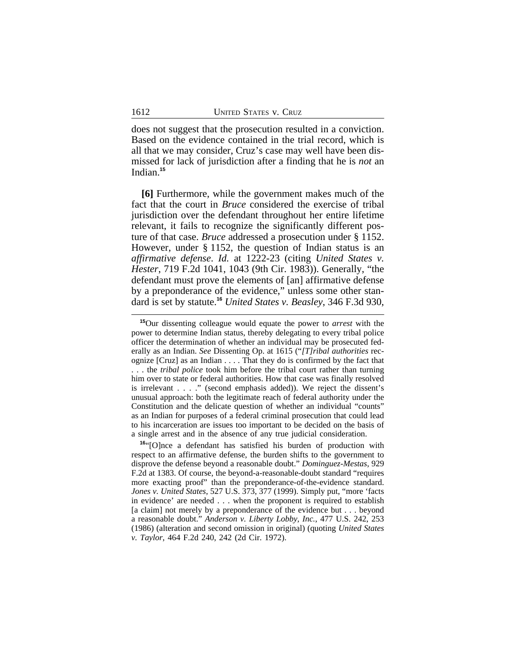does not suggest that the prosecution resulted in a conviction. Based on the evidence contained in the trial record, which is all that we may consider, Cruz's case may well have been dismissed for lack of jurisdiction after a finding that he is *not* an Indian.**<sup>15</sup>**

**[6]** Furthermore, while the government makes much of the fact that the court in *Bruce* considered the exercise of tribal jurisdiction over the defendant throughout her entire lifetime relevant, it fails to recognize the significantly different posture of that case. *Bruce* addressed a prosecution under § 1152. However, under § 1152, the question of Indian status is an *affirmative defense*. *Id.* at 1222-23 (citing *United States v. Hester*, 719 F.2d 1041, 1043 (9th Cir. 1983)). Generally, "the defendant must prove the elements of [an] affirmative defense by a preponderance of the evidence," unless some other standard is set by statute.**<sup>16</sup>** *United States v. Beasley*, 346 F.3d 930,

**<sup>15</sup>**Our dissenting colleague would equate the power to *arrest* with the power to determine Indian status, thereby delegating to every tribal police officer the determination of whether an individual may be prosecuted federally as an Indian. *See* Dissenting Op. at 1615 ("*[T]ribal authorities* recognize [Cruz] as an Indian . . . . That they do is confirmed by the fact that . . . the *tribal police* took him before the tribal court rather than turning him over to state or federal authorities. How that case was finally resolved is irrelevant . . . ." (second emphasis added)). We reject the dissent's unusual approach: both the legitimate reach of federal authority under the Constitution and the delicate question of whether an individual "counts" as an Indian for purposes of a federal criminal prosecution that could lead to his incarceration are issues too important to be decided on the basis of a single arrest and in the absence of any true judicial consideration.

**<sup>16</sup>**"[O]nce a defendant has satisfied his burden of production with respect to an affirmative defense, the burden shifts to the government to disprove the defense beyond a reasonable doubt." *Dominguez-Mestas*, 929 F.2d at 1383. Of course, the beyond-a-reasonable-doubt standard "requires more exacting proof" than the preponderance-of-the-evidence standard. *Jones v. United States*, 527 U.S. 373, 377 (1999). Simply put, "more 'facts in evidence' are needed . . . when the proponent is required to establish [a claim] not merely by a preponderance of the evidence but . . . beyond a reasonable doubt." *Anderson v. Liberty Lobby, Inc.*, 477 U.S. 242, 253 (1986) (alteration and second omission in original) (quoting *United States v. Taylor*, 464 F.2d 240, 242 (2d Cir. 1972).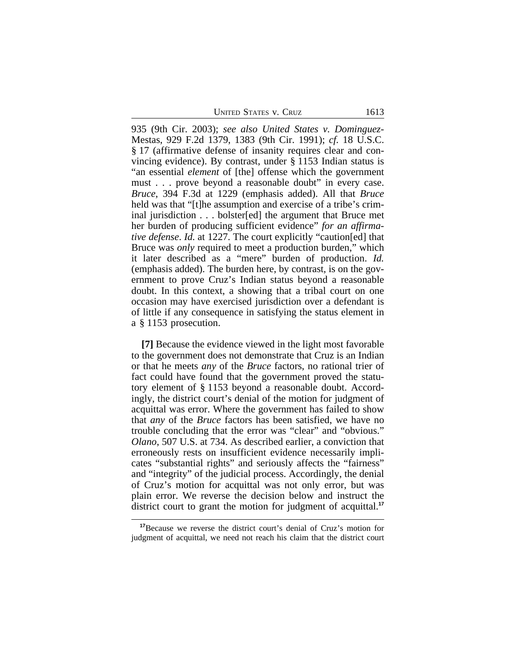935 (9th Cir. 2003); *see also United States v. Dominguez-*Mestas, 929 F.2d 1379, 1383 (9th Cir. 1991); *cf.* 18 U.S.C. § 17 (affirmative defense of insanity requires clear and convincing evidence). By contrast, under § 1153 Indian status is "an essential *element* of [the] offense which the government must . . . prove beyond a reasonable doubt" in every case. *Bruce*, 394 F.3d at 1229 (emphasis added). All that *Bruce* held was that "[t]he assumption and exercise of a tribe's criminal jurisdiction . . . bolster[ed] the argument that Bruce met her burden of producing sufficient evidence" *for an affirmative defense*. *Id.* at 1227. The court explicitly "caution[ed] that Bruce was *only* required to meet a production burden," which it later described as a "mere" burden of production. *Id.* (emphasis added). The burden here, by contrast, is on the government to prove Cruz's Indian status beyond a reasonable doubt. In this context, a showing that a tribal court on one occasion may have exercised jurisdiction over a defendant is of little if any consequence in satisfying the status element in a § 1153 prosecution.

**[7]** Because the evidence viewed in the light most favorable to the government does not demonstrate that Cruz is an Indian or that he meets *any* of the *Bruce* factors, no rational trier of fact could have found that the government proved the statutory element of § 1153 beyond a reasonable doubt. Accordingly, the district court's denial of the motion for judgment of acquittal was error. Where the government has failed to show that *any* of the *Bruce* factors has been satisfied, we have no trouble concluding that the error was "clear" and "obvious." *Olano*, 507 U.S. at 734. As described earlier, a conviction that erroneously rests on insufficient evidence necessarily implicates "substantial rights" and seriously affects the "fairness" and "integrity" of the judicial process. Accordingly, the denial of Cruz's motion for acquittal was not only error, but was plain error. We reverse the decision below and instruct the district court to grant the motion for judgment of acquittal.**<sup>17</sup>**

**<sup>17</sup>**Because we reverse the district court's denial of Cruz's motion for judgment of acquittal, we need not reach his claim that the district court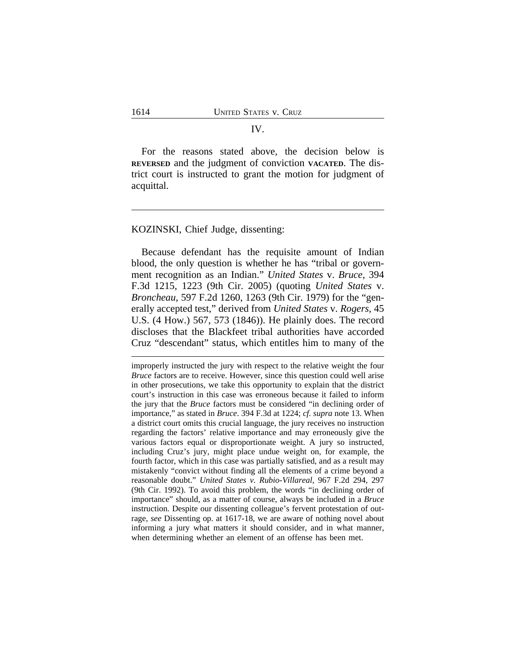#### IV.

For the reasons stated above, the decision below is **REVERSED** and the judgment of conviction **VACATED**. The district court is instructed to grant the motion for judgment of acquittal.

#### KOZINSKI, Chief Judge, dissenting:

Because defendant has the requisite amount of Indian blood, the only question is whether he has "tribal or government recognition as an Indian." *United States* v. *Bruce*, 394 F.3d 1215, 1223 (9th Cir. 2005) (quoting *United States* v. *Broncheau*, 597 F.2d 1260, 1263 (9th Cir. 1979) for the "generally accepted test," derived from *United States* v. *Rogers*, 45 U.S. (4 How.) 567, 573 (1846)). He plainly does. The record discloses that the Blackfeet tribal authorities have accorded Cruz "descendant" status, which entitles him to many of the

improperly instructed the jury with respect to the relative weight the four *Bruce* factors are to receive. However, since this question could well arise in other prosecutions, we take this opportunity to explain that the district court's instruction in this case was erroneous because it failed to inform the jury that the *Bruce* factors must be considered "in declining order of importance," as stated in *Bruce*. 394 F.3d at 1224; *cf. supra* note 13. When a district court omits this crucial language, the jury receives no instruction regarding the factors' relative importance and may erroneously give the various factors equal or disproportionate weight. A jury so instructed, including Cruz's jury, might place undue weight on, for example, the fourth factor, which in this case was partially satisfied, and as a result may mistakenly "convict without finding all the elements of a crime beyond a reasonable doubt." *United States v. Rubio-Villareal*, 967 F.2d 294, 297 (9th Cir. 1992). To avoid this problem, the words "in declining order of importance" should, as a matter of course, always be included in a *Bruce* instruction. Despite our dissenting colleague's fervent protestation of outrage, *see* Dissenting op. at 1617-18, we are aware of nothing novel about informing a jury what matters it should consider, and in what manner, when determining whether an element of an offense has been met.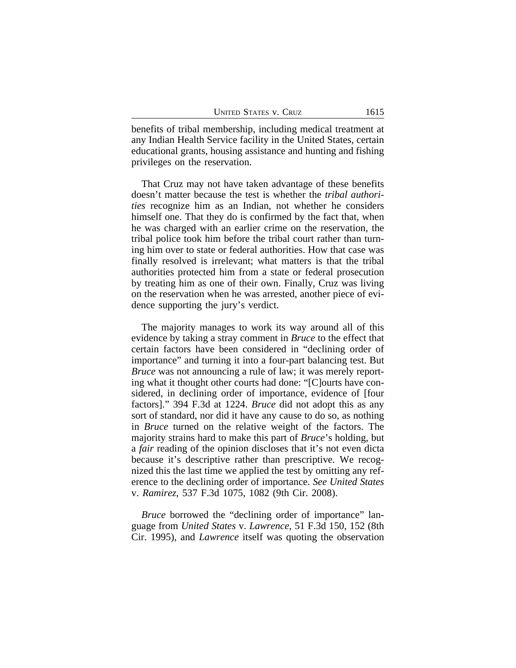benefits of tribal membership, including medical treatment at any Indian Health Service facility in the United States, certain educational grants, housing assistance and hunting and fishing privileges on the reservation.

That Cruz may not have taken advantage of these benefits doesn't matter because the test is whether the *tribal authorities* recognize him as an Indian, not whether he considers himself one. That they do is confirmed by the fact that, when he was charged with an earlier crime on the reservation, the tribal police took him before the tribal court rather than turning him over to state or federal authorities. How that case was finally resolved is irrelevant; what matters is that the tribal authorities protected him from a state or federal prosecution by treating him as one of their own. Finally, Cruz was living on the reservation when he was arrested, another piece of evidence supporting the jury's verdict.

The majority manages to work its way around all of this evidence by taking a stray comment in *Bruce* to the effect that certain factors have been considered in "declining order of importance" and turning it into a four-part balancing test. But *Bruce* was not announcing a rule of law; it was merely reporting what it thought other courts had done: "[C]ourts have considered, in declining order of importance, evidence of [four factors]." 394 F.3d at 1224. *Bruce* did not adopt this as any sort of standard, nor did it have any cause to do so, as nothing in *Bruce* turned on the relative weight of the factors. The majority strains hard to make this part of *Bruce*'s holding, but a *fair* reading of the opinion discloses that it's not even dicta because it's descriptive rather than prescriptive. We recognized this the last time we applied the test by omitting any reference to the declining order of importance. *See United States* v. *Ramirez*, 537 F.3d 1075, 1082 (9th Cir. 2008).

*Bruce* borrowed the "declining order of importance" language from *United States* v. *Lawrence*, 51 F.3d 150, 152 (8th Cir. 1995), and *Lawrence* itself was quoting the observation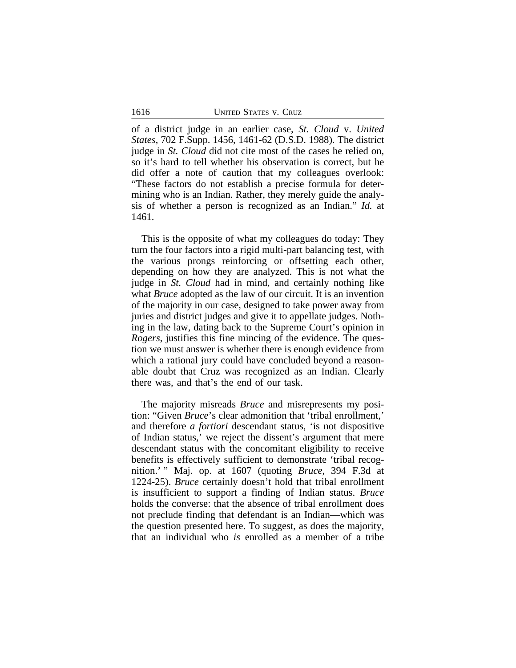of a district judge in an earlier case, *St. Cloud* v. *United States*, 702 F.Supp. 1456, 1461-62 (D.S.D. 1988). The district judge in *St. Cloud* did not cite most of the cases he relied on, so it's hard to tell whether his observation is correct, but he did offer a note of caution that my colleagues overlook: "These factors do not establish a precise formula for determining who is an Indian. Rather, they merely guide the analysis of whether a person is recognized as an Indian." *Id.* at 1461.

This is the opposite of what my colleagues do today: They turn the four factors into a rigid multi-part balancing test, with the various prongs reinforcing or offsetting each other, depending on how they are analyzed. This is not what the judge in *St. Cloud* had in mind, and certainly nothing like what *Bruce* adopted as the law of our circuit. It is an invention of the majority in our case, designed to take power away from juries and district judges and give it to appellate judges. Nothing in the law, dating back to the Supreme Court's opinion in *Rogers*, justifies this fine mincing of the evidence. The question we must answer is whether there is enough evidence from which a rational jury could have concluded beyond a reasonable doubt that Cruz was recognized as an Indian. Clearly there was, and that's the end of our task.

The majority misreads *Bruce* and misrepresents my position: "Given *Bruce*'s clear admonition that 'tribal enrollment,' and therefore *a fortiori* descendant status, 'is not dispositive of Indian status,' we reject the dissent's argument that mere descendant status with the concomitant eligibility to receive benefits is effectively sufficient to demonstrate 'tribal recognition.' " Maj. op. at 1607 (quoting *Bruce*, 394 F.3d at 1224-25). *Bruce* certainly doesn't hold that tribal enrollment is insufficient to support a finding of Indian status. *Bruce* holds the converse: that the absence of tribal enrollment does not preclude finding that defendant is an Indian—which was the question presented here. To suggest, as does the majority, that an individual who *is* enrolled as a member of a tribe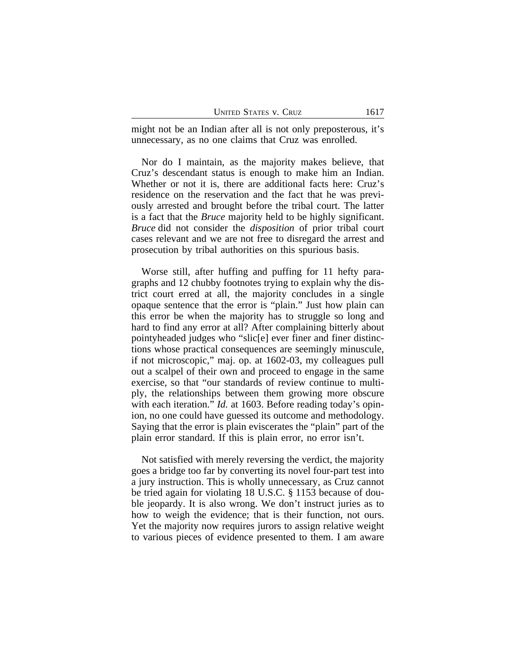might not be an Indian after all is not only preposterous, it's unnecessary, as no one claims that Cruz was enrolled.

Nor do I maintain, as the majority makes believe, that Cruz's descendant status is enough to make him an Indian. Whether or not it is, there are additional facts here: Cruz's residence on the reservation and the fact that he was previously arrested and brought before the tribal court. The latter is a fact that the *Bruce* majority held to be highly significant. *Bruce* did not consider the *disposition* of prior tribal court cases relevant and we are not free to disregard the arrest and prosecution by tribal authorities on this spurious basis.

Worse still, after huffing and puffing for 11 hefty paragraphs and 12 chubby footnotes trying to explain why the district court erred at all, the majority concludes in a single opaque sentence that the error is "plain." Just how plain can this error be when the majority has to struggle so long and hard to find any error at all? After complaining bitterly about pointyheaded judges who "slic[e] ever finer and finer distinctions whose practical consequences are seemingly minuscule, if not microscopic," maj. op. at 1602-03, my colleagues pull out a scalpel of their own and proceed to engage in the same exercise, so that "our standards of review continue to multiply, the relationships between them growing more obscure with each iteration." *Id.* at 1603. Before reading today's opinion, no one could have guessed its outcome and methodology. Saying that the error is plain eviscerates the "plain" part of the plain error standard. If this is plain error, no error isn't.

Not satisfied with merely reversing the verdict, the majority goes a bridge too far by converting its novel four-part test into a jury instruction. This is wholly unnecessary, as Cruz cannot be tried again for violating 18 U.S.C. § 1153 because of double jeopardy. It is also wrong. We don't instruct juries as to how to weigh the evidence; that is their function, not ours. Yet the majority now requires jurors to assign relative weight to various pieces of evidence presented to them. I am aware